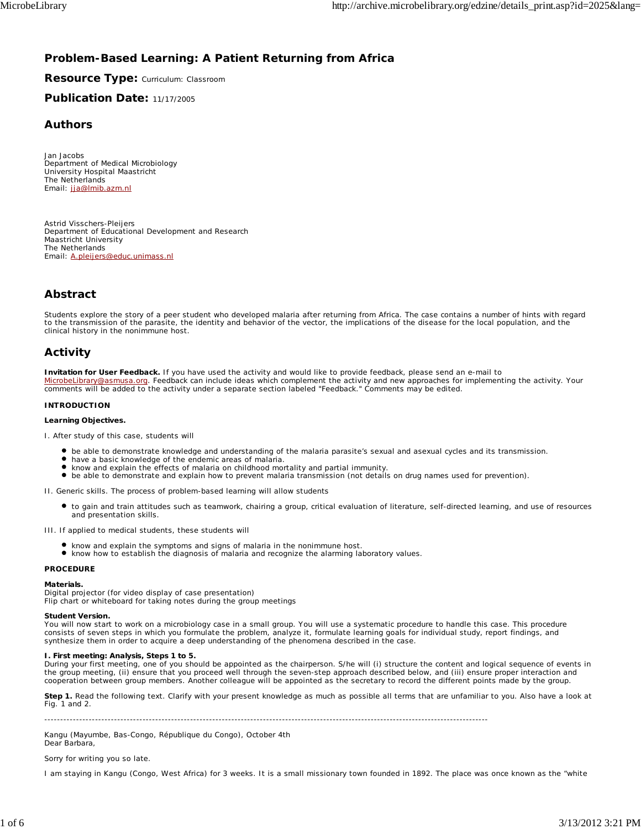# **Problem-Based Learning: A Patient Returning from Africa**

# **Resource Type:** Curriculum: Classroom

# **Publication Date:** 11/17/2005

# **Authors**

*Jan Jacobs* Department of Medical Microbiology University Hospital Maastricht The Netherlands Email: jja@lmib.azm.nl

*Astrid Visschers-Pleijers* Department of Educational Development and Research Maastricht University The Netherlands Email: A.pleijers@educ.unimass.nl

# **Abstract**

Students explore the story of a peer student who developed malaria after returning from Africa. The case contains a number of hints with regard to the transmission of the parasite, the identity and behavior of the vector, the implications of the disease for the local population, and the clinical history in the nonimmune host.

# **Activity**

**Invitation for User Feedback.** If you have used the activity and would like to provide feedback, please send an e-mail to MicrobeLibrary@asmusa.org. Feedback can include ideas which complement the activity and new approaches for implementing the activity. Your comments will be added to the activity under a separate section labeled "Feedback." Comments may be edited.

## **INTRODUCTION**

## **Learning Objectives.**

I. After study of this case, students will

- be able to demonstrate knowledge and understanding of the malaria parasite's sexual and asexual cycles and its transmission.
- have a basic knowledge of the endemic areas of malaria.
- know and explain the effects of malaria on childhood mortality and partial immunity.
- $\bullet$ be able to demonstrate and explain how to prevent malaria transmission (not details on drug names used for prevention).

II. Generic skills. The process of problem-based learning will allow students

to gain and train attitudes such as teamwork, chairing a group, critical evaluation of literature, self-directed learning, and use of resources and presentation skills.

III. If applied to medical students, these students will

- know and explain the symptoms and signs of malaria in the nonimmune host.
- know how to establish the diagnosis of malaria and recognize the alarming laboratory values.

# **PROCEDURE**

**Materials.**

Digital projector (for video display of case presentation) Flip chart or whiteboard for taking notes during the group meetings

## **Student Version.**

You will now start to work on a microbiology case in a small group. You will use a systematic procedure to handle this case. This procedure consists of seven steps in which you formulate the problem, analyze it, formulate learning goals for individual study, report findings, and synthesize them in order to acquire a deep understanding of the phenomena described in the case.

## **I. First meeting: Analysis, Steps 1 to 5.**

During your first meeting, one of you should be appointed as the chairperson. S/he will (i) structure the content and logical sequence of events in the group meeting, (ii) ensure that you proceed well through the seven-step approach described below, and (iii) ensure proper interaction and<br>cooperation between group members. Another colleague will be appointed as the se

**Step 1.** Read the following text. Clarify with your present knowledge as much as possible all terms that are unfamiliar to you. Also have a look at Fig. 1 and 2.

--------------------------------------------------------------------------------------------------------------------------------------------

Kangu (Mayumbe, Bas-Congo, République du Congo), October 4th Dear Barbara,

## Sorry for writing you so late.

I am staying in Kangu (Congo, West Africa) for 3 weeks. It is a small missionary town founded in 1892. The place was once known as the "white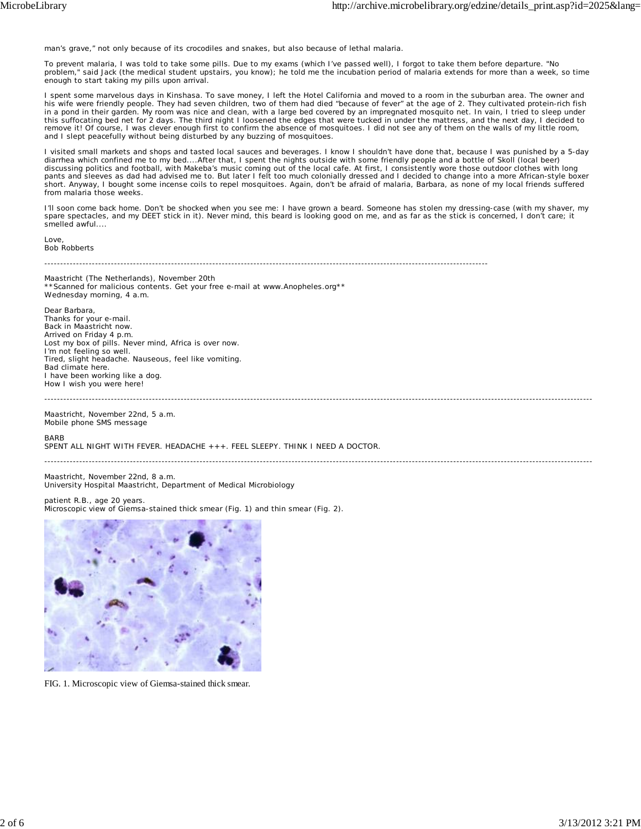man's grave," not only because of its crocodiles and snakes, but also because of lethal malaria.

To prevent malaria, I was told to take some pills. Due to my exams (which I've passed well), I forgot to take them before departure. "No problem," said Jack (the medical student upstairs, you know); he told me the incubation period of malaria extends for more than a week, so time enough to start taking my pills upon arrival.

I spent some marvelous days in Kinshasa. To save money, I left the Hotel California and moved to a room in the suburban area. The owner and his wife were friendly people. They had seven children, two of them had died "because of fever" at the age of 2. They cultivated protein-rich fish in a pond in their garden. My room was nice and clean, with a large bed covered by an impregnated mosquito net. In vain, I tried to sleep under<br>this suffocating bed net for 2 days. The third night I loosened the edges that remove it! Of course, I was clever enough first to confirm the absence of mosquitoes. I did not see any of them on the walls of my little room, and I slept peacefully without being disturbed by any buzzing of mosquitoes.

I visited small markets and shops and tasted local sauces and beverages. I know I shouldn't have done that, because I was punished by a 5-day diarrhea which confined me to my bed....After that, I spent the nights outside with some friendly people and a bottle of Skoll (local beer) discussing politics and football, with Makeba's music coming out of the local cafe. At first, I consistently wore those outdoor clothes with long pants and sleeves as dad had advised me to. But later I felt too much colonially dressed and I decided to change into a more African-style boxer short. Anyway, I bought some incense coils to repel mosquitoes. Again, don't be afraid of malaria, Barbara, as none of my local friends suffered from malaria those weeks.

I'll soon come back home. Don't be shocked when you see me: I have grown a beard. Someone has stolen my dressing-case (with my shaver, my spare spectacles, and my DEET stick in it). Never mind, this beard is looking good on me, and as far as the stick is concerned, I don't care; it smelled awful....

Love Bob Robberts

--------------------------------------------------------------------------------------------------------------------------------------------

Maastricht (The Netherlands), November 20th \*\*Scanned for malicious contents. Get your free e-mail at www.Anopheles.org\*\* Wednesday morning, 4 a.m.

Dear Barbara, Thanks for your e-mail. Back in Maastricht now. Arrived on Friday 4 p.m. Lost my box of pills. Never mind, Africa is over now. I'm not feeling so well. Tired, slight headache. Nauseous, feel like vomiting. Bad climate here. I have been working like a dog. How I wish you were here!

Maastricht, November 22nd, 5 a.m. Mobile phone SMS message

BARB

SPENT ALL NIGHT WITH FEVER. HEADACHE +++. FEEL SLEEPY. THINK I NEED A DOCTOR.

-----------------------------------------------------------------------------------------------------------------------------------------------------------------------------

-----------------------------------------------------------------------------------------------------------------------------------------------------------------------------

Maastricht, November 22nd, 8 a.m. University Hospital Maastricht, Department of Medical Microbiology

patient R.B., age 20 years. Microscopic view of Giemsa-stained thick smear (Fig. 1) and thin smear (Fig. 2).



FIG. 1. Microscopic view of Giemsa-stained thick smear.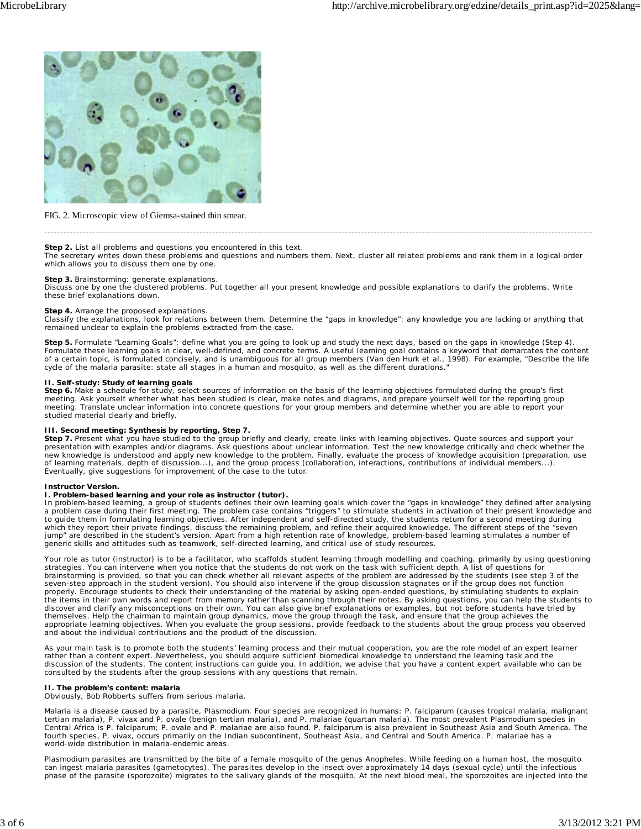

#### FIG. 2. Microscopic view of Giemsa-stained thin smear.

# **Step 2.** List all problems and questions you encountered in this text.

The secretary writes down these problems and questions and numbers them. Next, cluster all related problems and rank them in a logical order which allows you to discuss them one by one.

-----------------------------------------------------------------------------------------------------------------------------------------------------------------------------

**Step 3.** Brainstorming: generate explanations. Discuss one by one the clustered problems. Put together all your present knowledge and possible explanations to clarify the problems. Write these brief explanations down.

### **Step 4.** Arrange the proposed explanations.

Classify the explanations, look for relations between them. Determine the "gaps in knowledge": any knowledge you are lacking or anything that remained unclear to explain the problems extracted from the case.

**Step 5.** Formulate "Learning Goals": define what you are going to look up and study the next days, based on the gaps in knowledge (Step 4). Formulate these learning goals in clear, well-defined, and concrete terms. A useful learning goal contains a keyword that demarcates the content of a certain topic, is formulated concisely, and is unambiguous for all group members (Van den Hurk et al., 1998). For example, "Describe the life cycle of the malaria parasite: state all stages in a human and mosquito, as well as the different durations."

#### **II. Self-study: Study of learning goals**

Step 6. Make a schedule for study, select sources of information on the basis of the learning objectives formulated during the group's first meeting. Ask yourself whether what has been studied is clear, make notes and diagrams, and prepare yourself well for the reporting group meeting. Translate unclear information into concrete questions for your group members and determine whether you are able to report your studied material clearly and briefly.

#### **III. Second meeting: Synthesis by reporting, Step 7.**

Step 7. Present what you have studied to the group briefly and clearly, create links with learning objectives. Quote sources and support your presentation with examples and/or diagrams. Ask questions about unclear information. Test the new knowledge critically and check whether the new knowledge is understood and apply new knowledge to the problem. Finally, evaluate the process of knowledge acquisition (preparation, use of learning materials, depth of discussion...), and the group process (collaboration, interactions, contributions of individual members...). Eventually, give suggestions for improvement of the case to the tutor.

### **Instructor Version.**

I. Problem-based learning and your role as instructor (tutor).<br>In problem-based learning, a group of students defines their own learning goals which cover the "gaps in knowledge" they defined after analysing a problem case during their first meeting. The problem case contains "triggers" to stimulate students in activation of their present knowledge and<br>to guide them in formulating learning objectives. After independent and sel which they report their private findings, discuss the remaining problem, and refine their acquired knowledge. The different steps of the "seven jump" are described in the student's version. Apart from a high retention rate of knowledge, problem-based learning stimulates a number of generic skills and attitudes such as teamwork, self-directed learning, and critical use of study resources.

Your role as tutor (instructor) is to be a facilitator, who scaffolds student learning through modelling and coaching, primarily by using questioning<br>strategies. You can intervene when you notice that the students do not w appropriate learning objectives. When you evaluate the group sessions, provide feedback to the students about the group process you observed and about the individual contributions and the product of the discussion.

As your main task is to promote both the students' learning process and their mutual cooperation, you are the role model of an expert learner rather than a content expert. Nevertheless, you should acquire sufficient biomedical knowledge to understand the learning task and the discussion of the students. The content instructions can guide you. In addition, we advise that you have a content expert available who can be consulted by the students after the group sessions with any questions that remain.

#### **II. The problem's content: malaria**

Obviously, Bob Robberts suffers from serious malaria.

Malaria is a disease caused by a parasite, *Plasmodium*. Four species are recognized in humans: *P. falciparum* (causes tropical malaria, malignant<br>tertian malaria), *P. vivax* and *P. ovale* (benign tertian malaria), and fourth species, *P. vivax*, occurs primarily on the Indian subcontinent, Southeast Asia, and Central and South America. *P. malariae* has a world-wide distribution in malaria-endemic areas.

*Plasmodium* parasites are transmitted by the bite of a female mosquito of the genus *Anopheles*. While feeding on a human host, the mosquito can ingest malaria parasites (gametocytes). The parasites develop in the insect over approximately 14 days (sexual cycle) until the infectious phase of the parasite (sporozoite) migrates to the salivary glands of the mosquito. At the next blood meal, the sporozoites are injected into the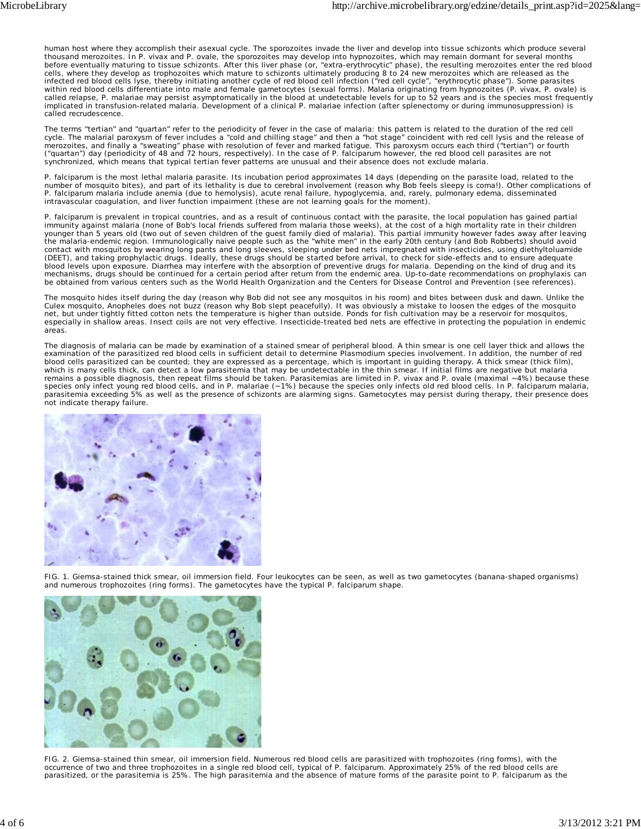human host where they accomplish their asexual cycle. The sporozoites invade the liver and develop into tissue schizonts which produce several thousand merozoites. In *P. vivax* and *P. ovale*, the sporozoites may develop into hypnozoites, which may remain dormant for several months<br>before eventually maturing to tissue schizonts. After this liver phase (or, "extr called recrudescence.

The terms "tertian" and "quartan" refer to the periodicity of fever in the case of malaria: this pattern is related to the duration of the red cell cycle. The malarial paroxysm of fever includes a "cold and chilling stage" and then a "hot stage" coincident with red cell lysis and the release of merozoites, and finally a "sweating" phase with resolution of fever and marked fatigue. This paroxysm occurs each third ("tertian") or fourth<br>("quartan") day (periodicity of 48 and 72 hours, respectively). In the case of synchronized, which means that typical tertian fever patterns are unusual and their absence does not exclude malaria.

*P. falciparum* is the most lethal malaria parasite. Its incubation period approximates 14 days (depending on the parasite load, related to the number of mosquito bites), and part of its lethality is due to cerebral involvement (reason why Bob feels sleepy is coma!). Other complications of<br>*P. falciparum* malaria include anemia (due to hemolysis), acute renal fail

*P. falciparum* is prevalent in tropical countries, and as a result of continuous contact with the parasite, the local population has gained partial immunity against malaria (none of Bob's local friends suffered from malaria those weeks), at the cost of a high mortality rate in their children<br>younger than 5 years old (two out of seven children of the guest family died

The mosquito hides itself during the day (reason why Bob did not see any mosquitos in his room) and bites between dusk and dawn. Unlike the Culex mosquito, Anopheles does not buzz (reason why Bob slept peacefully). It was obviously a mistake to loosen the edges of the mosquito<br>net, but under tightly fitted cotton nets the temperature is higher than outside. Po especially in shallow areas. Insect coils are not very effective. Insecticide-treated bed nets are effective in protecting the population in endemic areas.

The diagnosis of malaria can be made by examination of a stained smear of peripheral blood. A thin smear is one cell layer thick and allows the<br>examination of the parasitized red blood cells in sufficient detail to determi blood cells parasitized can be counted; they are expressed as a percentage, which is important in guiding therapy. A thick smear (thick film), which is many cells thick, can detect a low parasitemia that may be undetectable in the thin smear. If initial films are negative but malaria remains a possible diagnosis, then repeat films should be taken. Parasitemias are limited in *P. vivax* and *P. ovale* (maximal ~4%) because these species only infect young red blood cells, and in *P. malariae* (~1%) because the species only infects old red blood cells. In *P. falciparum* malaria,<br>parasitemia exceeding 5% as well as the presence of schizonts are alar not indicate therapy failure.



FIG. 1. Giemsa-stained thick smear, oil immersion field. Four leukocytes can be seen, as well as two gametocytes (banana-shaped organisms) and numerous trophozoites (ring forms). The gametocytes have the typical *P. falciparum* shape.



FIG. 2. Giemsa-stained thin smear, oil immersion field. Numerous red blood cells are parasitized with trophozoites (ring forms), with the occurrence of two and three trophozoites in a single red blood cell, typical of *P. falciparum*. Approximately 25% of the red blood cells are parasitized, or the parasitemia is 25%. The high parasitemia and the absence of mature forms of the parasite point to *P. falciparum* as the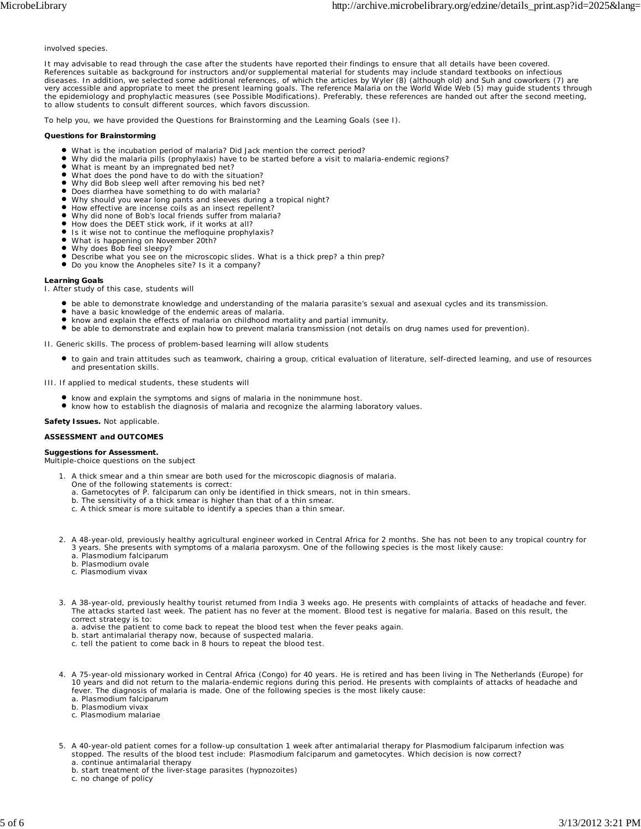#### involved species.

It may advisable to read through the case after the students have reported their findings to ensure that all details have been covered. References suitable as background for instructors and/or supplemental material for students may include standard textbooks on infectious diseases. In addition, we selected some additional references, of which the articles by Wyler (8) (although old) and Suh and coworkers (7) are<br>very accessible and appropriate to meet the present learning goals. The referen the epidemiology and prophylactic measures (see Possible Modifications). Preferably, these references are handed out after the second meeting, to allow students to consult different sources, which favors discussion.

To help you, we have provided the Questions for Brainstorming and the Learning Goals (see I).

#### **Questions for Brainstorming**

- What is the incubation period of malaria? Did Jack mention the correct period?
- Why did the malaria pills (prophylaxis) have to be started before a visit to malaria-endemic regions?
- What is meant by an impregnated bed net?
- What does the pond have to do with the situation?
- Why did Bob sleep well after removing his bed net?
- Does diarrhea have something to do with malaria?
- Why should you wear long pants and sleeves during a tropical night? How effective are incense coils as an insect repellent?
- Why did none of Bob's local friends suffer from malaria?
- How does the DEET stick work, if it works at all?
- Is it wise not to continue the mefloquine prophylaxis?
- $\bullet$
- What is happening on November 20th? Why does Bob feel sleepy?  $\bullet$
- Describe what you see on the microscopic slides. What is a thick prep? a thin prep?
- $\bullet$ Do you know the Anopheles site? Is it a company?

#### **Learning Goals**

I. After study of this case, students will

- be able to demonstrate knowledge and understanding of the malaria parasite's sexual and asexual cycles and its transmission.
- have a basic knowledge of the endemic areas of malaria.
- know and explain the effects of malaria on childhood mortality and partial immunity.
- be able to demonstrate and explain how to prevent malaria transmission (not details on drug names used for prevention).

II. Generic skills. The process of problem-based learning will allow students

to gain and train attitudes such as teamwork, chairing a group, critical evaluation of literature, self-directed learning, and use of resources and presentation skills.

III. If applied to medical students, these students will

- 
- know and explain the symptoms and signs of malaria in the nonimmune host. know how to establish the diagnosis of malaria and recognize the alarming laboratory values.

#### **Safety Issues.** Not applicable.

#### **ASSESSMENT and OUTCOMES**

#### **Suggestions for Assessment.**

Multiple-choice questions on the subject

- 1.
	-
	- A thick smear and a thin smear are both used for the microscopic diagnosis of malaria.<br>One of the following statements is correct:<br>a. Gametocytes of *P. falciparum* can only be identified in thick smears, not in thin smear
	-
	- c. A thick smear is more suitable to identify a species than a thin smear.
- 2. A 48-year-old, previously healthy agricultural engineer worked in Central Africa for 2 months. She has not been to any tropical country for 3 years. She presents with symptoms of a malaria paroxysm. One of the following species is the most likely cause:
	- a. *Plasmodium falciparum*
	- b. *Plasmodium ovale*
	- c. *Plasmodium vivax*
- A 38-year-old, previously healthy tourist returned from India 3 weeks ago. He presents with complaints of attacks of headache and fever. 3. The attacks started last week. The patient has no fever at the moment. Blood test is negative for malaria. Based on this result, the correct strategy is to:
	- a. advise the patient to come back to repeat the blood test when the fever peaks again.
	- b. start antimalarial therapy now, because of suspected malaria.
	- c. tell the patient to come back in 8 hours to repeat the blood test.
- A 75-year-old missionary worked in Central Africa (Congo) for 40 years. He is retired and has been living in The Netherlands (Europe) for 4. 10 years and did not return to the malaria-endemic regions during this period. He presents with complaints of attacks of headache and fever. The diagnosis of malaria is made. One of the following species is the most likely cause:
	- a. *Plasmodium falciparum*
	- b. *Plasmodium vivax*
	- c. *Plasmodium malariae*
- 5. A 40-year-old patient comes for a follow-up consultation 1 week after antimalarial therapy for *Plasmodium falciparum* infection was stopped. The results of the blood test include: *Plasmodium falciparum* and gametocytes. Which decision is now correct? a. continue antimalarial therapy
	- b. start treatment of the liver-stage parasites (hypnozoites)
	- c. no change of policy